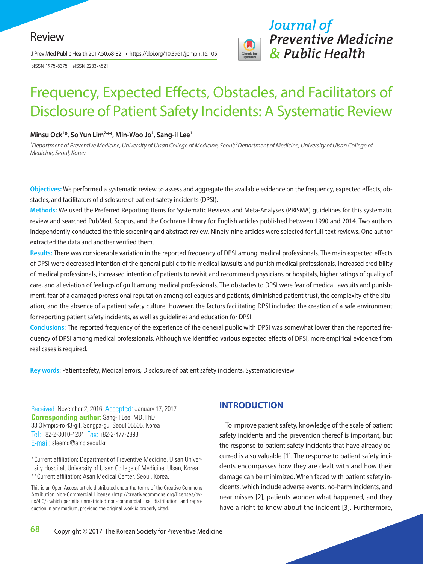J Prev Med Public Health 2017;50:68-82 • https://doi.org/10.3961/jpmph.16.105

pISSN 1975-8375 eISSN 2233-4521



# Frequency, Expected Effects, Obstacles, and Facilitators of Disclosure of Patient Safety Incidents: A Systematic Review

#### **Minsu Ock1 \*, So Yun Lim2 \*\*, Min-Woo Jo1 , Sang-il Lee1**

<sup>1</sup> Department of Preventive Medicine, University of Ulsan College of Medicine, Seoul; <sup>2</sup> Department of Medicine, University of Ulsan College of *Medicine, Seoul, Korea* 

**Objectives:** We performed a systematic review to assess and aggregate the available evidence on the frequency, expected effects, obstacles, and facilitators of disclosure of patient safety incidents (DPSI).

**Methods:** We used the Preferred Reporting Items for Systematic Reviews and Meta-Analyses (PRISMA) guidelines for this systematic review and searched PubMed, Scopus, and the Cochrane Library for English articles published between 1990 and 2014. Two authors independently conducted the title screening and abstract review. Ninety-nine articles were selected for full-text reviews. One author extracted the data and another verified them.

**Results:** There was considerable variation in the reported frequency of DPSI among medical professionals. The main expected effects of DPSI were decreased intention of the general public to file medical lawsuits and punish medical professionals, increased credibility of medical professionals, increased intention of patients to revisit and recommend physicians or hospitals, higher ratings of quality of care, and alleviation of feelings of guilt among medical professionals. The obstacles to DPSI were fear of medical lawsuits and punishment, fear of a damaged professional reputation among colleagues and patients, diminished patient trust, the complexity of the situation, and the absence of a patient safety culture. However, the factors facilitating DPSI included the creation of a safe environment for reporting patient safety incidents, as well as guidelines and education for DPSI.

**Conclusions:** The reported frequency of the experience of the general public with DPSI was somewhat lower than the reported frequency of DPSI among medical professionals. Although we identified various expected effects of DPSI, more empirical evidence from real cases is required.

**Key words:** Patient safety, Medical errors, Disclosure of patient safety incidents, Systematic review

Received: November 2, 2016 Accepted: January 17, 2017 **Corresponding author:** Sang-il Lee, MD, PhD 88 Olympic-ro 43-gil, Songpa-gu, Seoul 05505, Korea Tel: +82-2-3010-4284, Fax: +82-2-477-2898 E-mail: sleemd@amc.seoul.kr

\*Current affiliation: Department of Preventive Medicine, Ulsan University Hospital, University of Ulsan College of Medicine, Ulsan, Korea. \*\*Current affiliation: Asan Medical Center, Seoul, Korea.

This is an Open Access article distributed under the terms of the Creative Commons Attribution Non-Commercial License (http://creativecommons.org/licenses/bync/4.0/) which permits unrestricted non-commercial use, distribution, and reproduction in any medium, provided the original work is properly cited.

## **INTRODUCTION**

To improve patient safety, knowledge of the scale of patient safety incidents and the prevention thereof is important, but the response to patient safety incidents that have already occurred is also valuable [1]. The response to patient safety incidents encompasses how they are dealt with and how their damage can be minimized. When faced with patient safety incidents, which include adverse events, no-harm incidents, and near misses [2], patients wonder what happened, and they have a right to know about the incident [3]. Furthermore,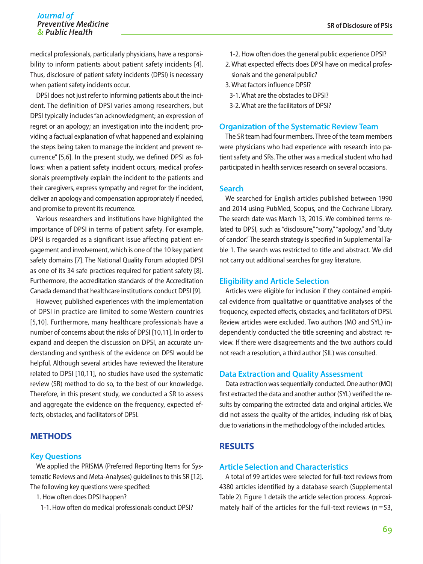## Journal of *Journal of* **SR of Disclosure of PSIs**

medical professionals, particularly physicians, have a responsibility to inform patients about patient safety incidents [4]. Thus, disclosure of patient safety incidents (DPSI) is necessary when patient safety incidents occur.

DPSI does not just refer to informing patients about the incident. The definition of DPSI varies among researchers, but DPSI typically includes "an acknowledgment; an expression of regret or an apology; an investigation into the incident; providing a factual explanation of what happened and explaining the steps being taken to manage the incident and prevent recurrence" [5,6]. In the present study, we defined DPSI as follows: when a patient safety incident occurs, medical professionals preemptively explain the incident to the patients and their caregivers, express sympathy and regret for the incident, deliver an apology and compensation appropriately if needed, and promise to prevent its recurrence.

Various researchers and institutions have highlighted the importance of DPSI in terms of patient safety. For example, DPSI is regarded as a significant issue affecting patient engagement and involvement, which is one of the 10 key patient safety domains [7]. The National Quality Forum adopted DPSI as one of its 34 safe practices required for patient safety [8]. Furthermore, the accreditation standards of the Accreditation Canada demand that healthcare institutions conduct DPSI [9].

However, published experiences with the implementation of DPSI in practice are limited to some Western countries [5,10]. Furthermore, many healthcare professionals have a number of concerns about the risks of DPSI [10,11]. In order to expand and deepen the discussion on DPSI, an accurate understanding and synthesis of the evidence on DPSI would be helpful. Although several articles have reviewed the literature related to DPSI [10,11], no studies have used the systematic review (SR) method to do so, to the best of our knowledge. Therefore, in this present study, we conducted a SR to assess and aggregate the evidence on the frequency, expected effects, obstacles, and facilitators of DPSI.

## **METHODS**

## **Key Questions**

We applied the PRISMA (Preferred Reporting Items for Systematic Reviews and Meta-Analyses) guidelines to this SR [12]. The following key questions were specified:

1. How often does DPSI happen?

1-1. How often do medical professionals conduct DPSI?

- 1-2. How often does the general public experience DPSI?
- 2. What expected effects does DPSI have on medical professionals and the general public?
- 3. What factors influence DPSI?
	- 3-1. What are the obstacles to DPSI?
	- 3-2. What are the facilitators of DPSI?

#### **Organization of the Systematic Review Team**

The SR team had four members. Three of the team members were physicians who had experience with research into patient safety and SRs. The other was a medical student who had participated in health services research on several occasions.

#### **Search**

We searched for English articles published between 1990 and 2014 using PubMed, Scopus, and the Cochrane Library. The search date was March 13, 2015. We combined terms related to DPSI, such as "disclosure," "sorry," "apology," and "duty of candor." The search strategy is specified in Supplemental Table 1. The search was restricted to title and abstract. We did not carry out additional searches for gray literature.

#### **Eligibility and Article Selection**

Articles were eligible for inclusion if they contained empirical evidence from qualitative or quantitative analyses of the frequency, expected effects, obstacles, and facilitators of DPSI. Review articles were excluded. Two authors (MO and SYL) independently conducted the title screening and abstract review. If there were disagreements and the two authors could not reach a resolution, a third author (SIL) was consulted.

## **Data Extraction and Quality Assessment**

Data extraction was sequentially conducted. One author (MO) first extracted the data and another author (SYL) verified the results by comparing the extracted data and original articles. We did not assess the quality of the articles, including risk of bias, due to variations in the methodology of the included articles.

## **RESULTS**

## **Article Selection and Characteristics**

A total of 99 articles were selected for full-text reviews from 4380 articles identified by a database search (Supplemental Table 2). Figure 1 details the article selection process. Approximately half of the articles for the full-text reviews ( $n=53$ ,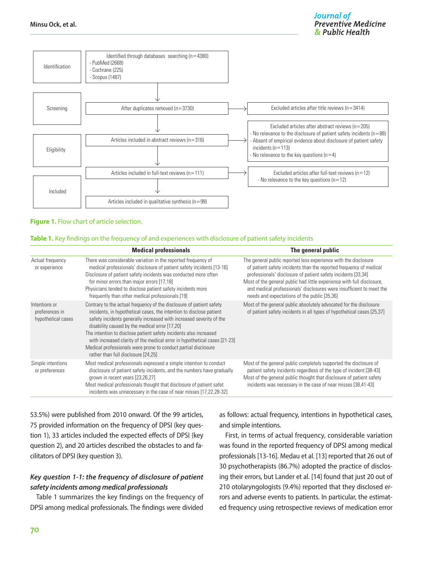

#### **Figure 1.** Flow chart of article selection.

#### **Table 1.** Key findings on the frequency of and experiences with disclosure of patient safety incidents

|                                                       | <b>Medical professionals</b>                                                                                                                                                                                                                                                                                                                                                                                                                                                                                                    | The general public                                                                                                                                                                                                                                                                                                                                                                                       |
|-------------------------------------------------------|---------------------------------------------------------------------------------------------------------------------------------------------------------------------------------------------------------------------------------------------------------------------------------------------------------------------------------------------------------------------------------------------------------------------------------------------------------------------------------------------------------------------------------|----------------------------------------------------------------------------------------------------------------------------------------------------------------------------------------------------------------------------------------------------------------------------------------------------------------------------------------------------------------------------------------------------------|
| Actual frequency<br>or experience                     | There was considerable variation in the reported frequency of<br>medical professionals' disclosure of patient safety incidents [13-16]<br>Disclosure of patient safety incidents was conducted more often<br>for minor errors than major errors [17,18]<br>Physicians tended to disclose patient safety incidents more<br>frequently than other medical professionals [19]                                                                                                                                                      | The general public reported less experience with the disclosure<br>of patient safety incidents than the reported frequency of medical<br>professionals' disclosure of patient safety incidents [33,34]<br>Most of the general public had little experience with full disclosure,<br>and medical professionals' disclosures were insufficient to meet the<br>needs and expectations of the public [35,36] |
| Intentions or<br>preferences in<br>hypothetical cases | Contrary to the actual frequency of the disclosure of patient safety<br>incidents, in hypothetical cases, the intention to disclose patient<br>safety incidents generally increased with increased severity of the<br>disability caused by the medical error [17,20]<br>The intention to disclose patient safety incidents also increased<br>with increased clarity of the medical error in hypothetical cases [21-23]<br>Medical professionals were prone to conduct partial disclosure<br>rather than full disclosure [24,25] | Most of the general public absolutely advocated for the disclosure<br>of patient safety incidents in all types of hypothetical cases [25,37]                                                                                                                                                                                                                                                             |
| Simple intentions<br>or preferences                   | Most medical professionals expressed a simple intention to conduct<br>disclosure of patient safety incidents, and the numbers have gradually<br>grown in recent years [23,26,27]<br>Most medical professionals thought that disclosure of patient safet<br>incidents was unnecessary in the case of near misses [17,22,28-32]                                                                                                                                                                                                   | Most of the general public completely supported the disclosure of<br>patient safety incidents regardless of the type of incident [38-43]<br>Most of the general public thought that disclosure of patient safety<br>incidents was necessary in the case of near misses [38,41-43]                                                                                                                        |

53.5%) were published from 2010 onward. Of the 99 articles, 75 provided information on the frequency of DPSI (key question 1), 33 articles included the expected effects of DPSI (key question 2), and 20 articles described the obstacles to and facilitators of DPSI (key question 3).

## *Key question 1-1: the frequency of disclosure of patient safety incidents among medical professionals*

Table 1 summarizes the key findings on the frequency of DPSI among medical professionals. The findings were divided

as follows: actual frequency, intentions in hypothetical cases, and simple intentions.

First, in terms of actual frequency, considerable variation was found in the reported frequency of DPSI among medical professionals [13-16]. Medau et al. [13] reported that 26 out of 30 psychotherapists (86.7%) adopted the practice of disclosing their errors, but Lander et al. [14] found that just 20 out of 210 otolaryngologists (9.4%) reported that they disclosed errors and adverse events to patients. In particular, the estimated frequency using retrospective reviews of medication error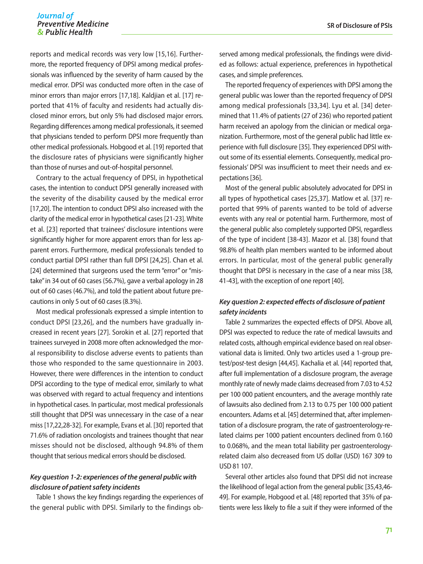#### Journal of **Preventive Medicine** & Public Health

reports and medical records was very low [15,16]. Furthermore, the reported frequency of DPSI among medical professionals was influenced by the severity of harm caused by the medical error. DPSI was conducted more often in the case of minor errors than major errors [17,18]. Kaldjian et al. [17] reported that 41% of faculty and residents had actually disclosed minor errors, but only 5% had disclosed major errors. Regarding differences among medical professionals, it seemed that physicians tended to perform DPSI more frequently than other medical professionals. Hobgood et al. [19] reported that the disclosure rates of physicians were significantly higher than those of nurses and out-of-hospital personnel.

Contrary to the actual frequency of DPSI, in hypothetical cases, the intention to conduct DPSI generally increased with the severity of the disability caused by the medical error [17,20]. The intention to conduct DPSI also increased with the clarity of the medical error in hypothetical cases [21-23]. White et al. [23] reported that trainees' disclosure intentions were significantly higher for more apparent errors than for less apparent errors. Furthermore, medical professionals tended to conduct partial DPSI rather than full DPSI [24,25]. Chan et al. [24] determined that surgeons used the term "error" or "mistake" in 34 out of 60 cases (56.7%), gave a verbal apology in 28 out of 60 cases (46.7%), and told the patient about future precautions in only 5 out of 60 cases (8.3%).

Most medical professionals expressed a simple intention to conduct DPSI [23,26], and the numbers have gradually increased in recent years [27]. Sorokin et al. [27] reported that trainees surveyed in 2008 more often acknowledged the moral responsibility to disclose adverse events to patients than those who responded to the same questionnaire in 2003. However, there were differences in the intention to conduct DPSI according to the type of medical error, similarly to what was observed with regard to actual frequency and intentions in hypothetical cases. In particular, most medical professionals still thought that DPSI was unnecessary in the case of a near miss [17,22,28-32]. For example, Evans et al. [30] reported that 71.6% of radiation oncologists and trainees thought that near misses should not be disclosed, although 94.8% of them thought that serious medical errors should be disclosed.

## *Key question 1-2: experiences of the general public with disclosure of patient safety incidents*

Table 1 shows the key findings regarding the experiences of the general public with DPSI. Similarly to the findings observed among medical professionals, the findings were divided as follows: actual experience, preferences in hypothetical cases, and simple preferences.

The reported frequency of experiences with DPSI among the general public was lower than the reported frequency of DPSI among medical professionals [33,34]. Lyu et al. [34] determined that 11.4% of patients (27 of 236) who reported patient harm received an apology from the clinician or medical organization. Furthermore, most of the general public had little experience with full disclosure [35]. They experienced DPSI without some of its essential elements. Consequently, medical professionals' DPSI was insufficient to meet their needs and expectations [36].

Most of the general public absolutely advocated for DPSI in all types of hypothetical cases [25,37]. Matlow et al. [37] reported that 99% of parents wanted to be told of adverse events with any real or potential harm. Furthermore, most of the general public also completely supported DPSI, regardless of the type of incident [38-43]. Mazor et al. [38] found that 98.8% of health plan members wanted to be informed about errors. In particular, most of the general public generally thought that DPSI is necessary in the case of a near miss [38, 41-43], with the exception of one report [40].

## *Key question 2: expected effects of disclosure of patient safety incidents*

Table 2 summarizes the expected effects of DPSI. Above all, DPSI was expected to reduce the rate of medical lawsuits and related costs, although empirical evidence based on real observational data is limited. Only two articles used a 1-group pretest/pos*t*-test design [44,45]. Kachalia et al. [44] reported that, after full implementation of a disclosure program, the average monthly rate of newly made claims decreased from 7.03 to 4.52 per 100 000 patient encounters, and the average monthly rate of lawsuits also declined from 2.13 to 0.75 per 100 000 patient encounters. Adams et al. [45] determined that, after implementation of a disclosure program, the rate of gastroenterology-related claims per 1000 patient encounters declined from 0.160 to 0.068%, and the mean total liability per gastroenterologyrelated claim also decreased from US dollar (USD) 167 309 to USD 81 107.

Several other articles also found that DPSI did not increase the likelihood of legal action from the general public [35,43,46- 49]. For example, Hobgood et al. [48] reported that 35% of patients were less likely to file a suit if they were informed of the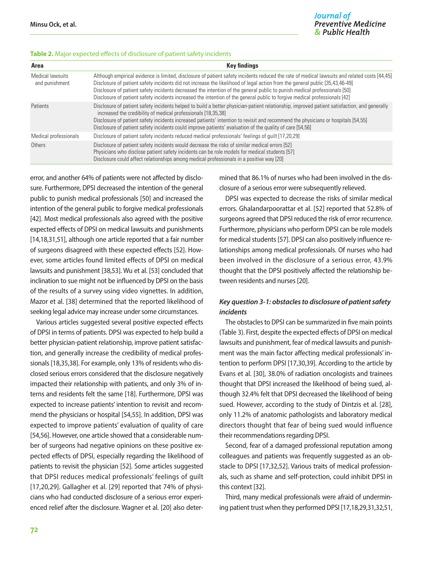#### **Table 2.** Major expected effects of disclosure of patient safety incidents

| Area                               | <b>Key findings</b>                                                                                                                                                                                                                                                                                                                                                                                                                                                                                                                      |  |
|------------------------------------|------------------------------------------------------------------------------------------------------------------------------------------------------------------------------------------------------------------------------------------------------------------------------------------------------------------------------------------------------------------------------------------------------------------------------------------------------------------------------------------------------------------------------------------|--|
| Medical lawsuits<br>and punishment | Although empirical evidence is limited, disclosure of patient safety incidents reduced the rate of medical lawsuits and related costs [44,45]<br>Disclosure of patient safety incidents did not increase the likelihood of legal action from the general public [35,43,46-49]<br>Disclosure of patient safety incidents decreased the intention of the general public to punish medical professionals [50]<br>Disclosure of patient safety incidents increased the intention of the general public to forgive medical professionals [42] |  |
| Patients                           | Disclosure of patient safety incidents helped to build a better physician-patient relationship, improved patient satisfaction, and generally<br>increased the credibility of medical professionals [18,35,38]<br>Disclosure of patient safety incidents increased patients' intention to revisit and recommend the physicians or hospitals [54,55]<br>Disclosure of patient safety incidents could improve patients' evaluation of the quality of care [54,56]                                                                           |  |
| Medical professionals              | Disclosure of patient safety incidents reduced medical professionals' feelings of guilt [17,20,29]                                                                                                                                                                                                                                                                                                                                                                                                                                       |  |
| Others                             | Disclosure of patient safety incidents would decrease the risks of similar medical errors [52]<br>Physicians who disclose patient safety incidents can be role models for medical students [57]<br>Disclosure could affect relationships among medical professionals in a positive way [20]                                                                                                                                                                                                                                              |  |

error, and another 64% of patients were not affected by disclosure. Furthermore, DPSI decreased the intention of the general public to punish medical professionals [50] and increased the intention of the general public to forgive medical professionals [42]. Most medical professionals also agreed with the positive expected effects of DPSI on medical lawsuits and punishments [14,18,31,51], although one article reported that a fair number of surgeons disagreed with these expected effects [52]. However, some articles found limited effects of DPSI on medical lawsuits and punishment [38,53]. Wu et al. [53] concluded that inclination to sue might not be influenced by DPSI on the basis of the results of a survey using video vignettes. In addition, Mazor et al. [38] determined that the reported likelihood of seeking legal advice may increase under some circumstances.

Various articles suggested several positive expected effects of DPSI in terms of patients. DPSI was expected to help build a better physician-patient relationship, improve patient satisfaction, and generally increase the credibility of medical professionals [18,35,38]. For example, only 13% of residents who disclosed serious errors considered that the disclosure negatively impacted their relationship with patients, and only 3% of interns and residents felt the same [18]. Furthermore, DPSI was expected to increase patients' intention to revisit and recommend the physicians or hospital [54,55]. In addition, DPSI was expected to improve patients' evaluation of quality of care [54,56]. However, one article showed that a considerable number of surgeons had negative opinions on these positive expected effects of DPSI, especially regarding the likelihood of patients to revisit the physician [52]. Some articles suggested that DPSI reduces medical professionals' feelings of guilt [17,20,29]. Gallagher et al. [29] reported that 74% of physicians who had conducted disclosure of a serious error experienced relief after the disclosure. Wagner et al. [20] also determined that 86.1% of nurses who had been involved in the disclosure of a serious error were subsequently relieved.

DPSI was expected to decrease the risks of similar medical errors. Ghalandarpoorattar et al. [52] reported that 52.8% of surgeons agreed that DPSI reduced the risk of error recurrence. Furthermore, physicians who perform DPSI can be role models for medical students [57]. DPSI can also positively influence relationships among medical professionals. Of nurses who had been involved in the disclosure of a serious error, 43.9% thought that the DPSI positively affected the relationship between residents and nurses [20].

## *Key question 3-1: obstacles to disclosure of patient safety incidents*

The obstacles to DPSI can be summarized in five main points (Table 3). First, despite the expected effects of DPSI on medical lawsuits and punishment, fear of medical lawsuits and punishment was the main factor affecting medical professionals' intention to perform DPSI [17,30,39]. According to the article by Evans et al. [30], 38.0% of radiation oncologists and trainees thought that DPSI increased the likelihood of being sued, although 32.4% felt that DPSI decreased the likelihood of being sued. However, according to the study of Dintzis et al. [28], only 11.2% of anatomic pathologists and laboratory medical directors thought that fear of being sued would influence their recommendations regarding DPSI.

Second, fear of a damaged professional reputation among colleagues and patients was frequently suggested as an obstacle to DPSI [17,32,52]. Various traits of medical professionals, such as shame and self-protection, could inhibit DPSI in this context [32].

Third, many medical professionals were afraid of undermining patient trust when they performed DPSI [17,18,29,31,32,51,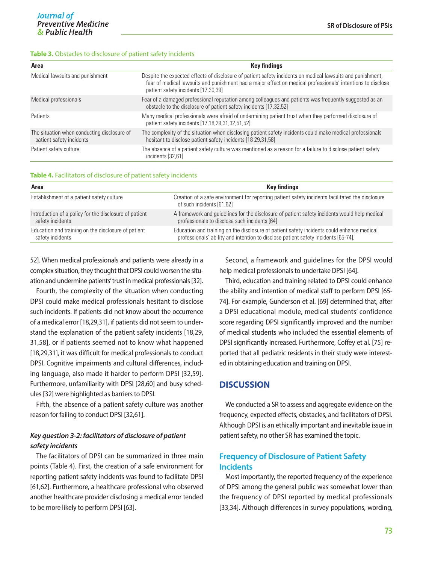#### **Table 3.** Obstacles to disclosure of patient safety incidents

| Area                                                                    | <b>Key findings</b>                                                                                                                                                                                                                                              |  |  |
|-------------------------------------------------------------------------|------------------------------------------------------------------------------------------------------------------------------------------------------------------------------------------------------------------------------------------------------------------|--|--|
| Medical lawsuits and punishment                                         | Despite the expected effects of disclosure of patient safety incidents on medical lawsuits and punishment,<br>fear of medical lawsuits and punishment had a major effect on medical professionals' intentions to disclose<br>patient safety incidents [17,30,39] |  |  |
| Medical professionals                                                   | Fear of a damaged professional reputation among colleagues and patients was frequently suggested as an<br>obstacle to the disclosure of patient safety incidents [17,32,52]                                                                                      |  |  |
| Patients                                                                | Many medical professionals were afraid of undermining patient trust when they performed disclosure of<br>patient safety incidents [17,18,29,31,32,51,52]                                                                                                         |  |  |
| The situation when conducting disclosure of<br>patient safety incidents | The complexity of the situation when disclosing patient safety incidents could make medical professionals<br>hesitant to disclose patient safety incidents [18 29,31,58]                                                                                         |  |  |
| Patient safety culture                                                  | The absence of a patient safety culture was mentioned as a reason for a failure to disclose patient safety<br>incidents [32,61]                                                                                                                                  |  |  |

#### **Table 4.** Facilitators of disclosure of patient safety incidents

| Area                                                   | Key findings                                                                                                                  |  |  |
|--------------------------------------------------------|-------------------------------------------------------------------------------------------------------------------------------|--|--|
| Establishment of a patient safety culture              | Creation of a safe environment for reporting patient safety incidents facilitated the disclosure<br>of such incidents [61,62] |  |  |
| Introduction of a policy for the disclosure of patient | A framework and guidelines for the disclosure of patient safety incidents would help medical                                  |  |  |
| safety incidents                                       | professionals to disclose such incidents [64]                                                                                 |  |  |
| Education and training on the disclosure of patient    | Education and training on the disclosure of patient safety incidents could enhance medical                                    |  |  |
| safety incidents                                       | professionals' ability and intention to disclose patient safety incidents [65-74].                                            |  |  |

52]. When medical professionals and patients were already in a complex situation, they thought that DPSI could worsen the situation and undermine patients' trust in medical professionals [32].

Fourth, the complexity of the situation when conducting DPSI could make medical professionals hesitant to disclose such incidents. If patients did not know about the occurrence of a medical error [18,29,31], if patients did not seem to understand the explanation of the patient safety incidents [18,29, 31,58], or if patients seemed not to know what happened [18,29,31], it was difficult for medical professionals to conduct DPSI. Cognitive impairments and cultural differences, including language, also made it harder to perform DPSI [32,59]. Furthermore, unfamiliarity with DPSI [28,60] and busy schedules [32] were highlighted as barriers to DPSI.

Fifth, the absence of a patient safety culture was another reason for failing to conduct DPSI [32,61].

## *Key question 3-2: facilitators of disclosure of patient safety incidents*

The facilitators of DPSI can be summarized in three main points (Table 4). First, the creation of a safe environment for reporting patient safety incidents was found to facilitate DPSI [61,62]. Furthermore, a healthcare professional who observed another healthcare provider disclosing a medical error tended to be more likely to perform DPSI [63].

Second, a framework and guidelines for the DPSI would help medical professionals to undertake DPSI [64].

Third, education and training related to DPSI could enhance the ability and intention of medical staff to perform DPSI [65- 74]. For example, Gunderson et al. [69] determined that, after a DPSI educational module, medical students' confidence score regarding DPSI significantly improved and the number of medical students who included the essential elements of DPSI significantly increased. Furthermore, Coffey et al. [75] reported that all pediatric residents in their study were interested in obtaining education and training on DPSI.

## **DISCUSSION**

We conducted a SR to assess and aggregate evidence on the frequency, expected effects, obstacles, and facilitators of DPSI. Although DPSI is an ethically important and inevitable issue in patient safety, no other SR has examined the topic.

## **Frequency of Disclosure of Patient Safety Incidents**

Most importantly, the reported frequency of the experience of DPSI among the general public was somewhat lower than the frequency of DPSI reported by medical professionals [33,34]. Although differences in survey populations, wording,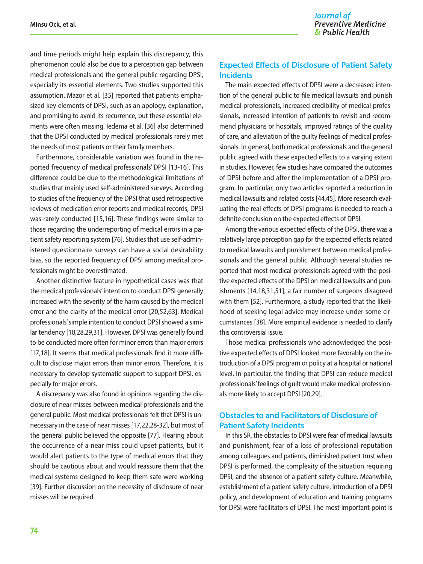and time periods might help explain this discrepancy, this phenomenon could also be due to a perception gap between medical professionals and the general public regarding DPSI, especially its essential elements. Two studies supported this assumption. Mazor et al. [35] reported that patients emphasized key elements of DPSI, such as an apology, explanation, and promising to avoid its recurrence, but these essential elements were often missing. Iedema et al. [36] also determined that the DPSI conducted by medical professionals rarely met the needs of most patients or their family members.

Furthermore, considerable variation was found in the reported frequency of medical professionals' DPSI [13-16]. This difference could be due to the methodological limitations of studies that mainly used self-administered surveys. According to studies of the frequency of the DPSI that used retrospective reviews of medication error reports and medical records, DPSI was rarely conducted [15,16]. These findings were similar to those regarding the underreporting of medical errors in a patient safety reporting system [76]. Studies that use self-administered questionnaire surveys can have a social desirability bias, so the reported frequency of DPSI among medical professionals might be overestimated.

Another distinctive feature in hypothetical cases was that the medical professionals' intention to conduct DPSI generally increased with the severity of the harm caused by the medical error and the clarity of the medical error [20,52,63]. Medical professionals' simple intention to conduct DPSI showed a similar tendency [18,28,29,31]. However, DPSI was generally found to be conducted more often for minor errors than major errors [17,18]. It seems that medical professionals find it more difficult to disclose major errors than minor errors. Therefore, it is necessary to develop systematic support to support DPSI, especially for major errors.

A discrepancy was also found in opinions regarding the disclosure of near misses between medical professionals and the general public. Most medical professionals felt that DPSI is unnecessary in the case of near misses [17,22,28-32], but most of the general public believed the opposite [77]. Hearing about the occurrence of a near miss could upset patients, but it would alert patients to the type of medical errors that they should be cautious about and would reassure them that the medical systems designed to keep them safe were working [39]. Further discussion on the necessity of disclosure of near misses will be required.

## **Expected Effects of Disclosure of Patient Safety Incidents**

The main expected effects of DPSI were a decreased intention of the general public to file medical lawsuits and punish medical professionals, increased credibility of medical professionals, increased intention of patients to revisit and recommend physicians or hospitals, improved ratings of the quality of care, and alleviation of the guilty feelings of medical professionals. In general, both medical professionals and the general public agreed with these expected effects to a varying extent in studies. However, few studies have compared the outcomes of DPSI before and after the implementation of a DPSI program. In particular, only two articles reported a reduction in medical lawsuits and related costs [44,45]. More research evaluating the real effects of DPSI programs is needed to reach a definite conclusion on the expected effects of DPSI.

Among the various expected effects of the DPSI, there was a relatively large perception gap for the expected effects related to medical lawsuits and punishment between medical professionals and the general public. Although several studies reported that most medical professionals agreed with the positive expected effects of the DPSI on medical lawsuits and punishments [14,18,31,51], a fair number of surgeons disagreed with them [52]. Furthermore, a study reported that the likelihood of seeking legal advice may increase under some circumstances [38]. More empirical evidence is needed to clarify this controversial issue.

Those medical professionals who acknowledged the positive expected effects of DPSI looked more favorably on the introduction of a DPSI program or policy at a hospital or national level. In particular, the finding that DPSI can reduce medical professionals' feelings of guilt would make medical professionals more likely to accept DPSI [20,29].

## **Obstacles to and Facilitators of Disclosure of Patient Safety Incidents**

In this SR, the obstacles to DPSI were fear of medical lawsuits and punishment, fear of a loss of professional reputation among colleagues and patients, diminished patient trust when DPSI is performed, the complexity of the situation requiring DPSI, and the absence of a patient safety culture. Meanwhile, establishment of a patient safety culture, introduction of a DPSI policy, and development of education and training programs for DPSI were facilitators of DPSI. The most important point is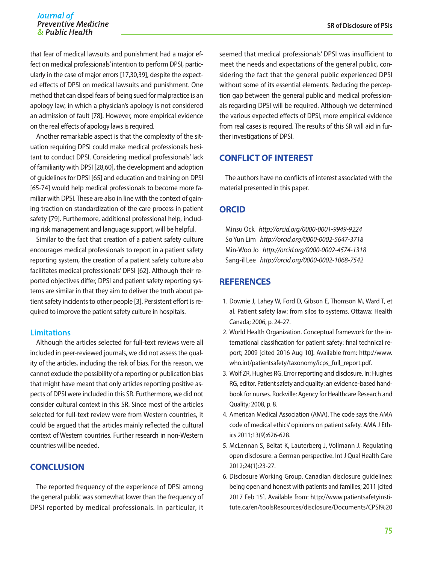#### Journal of **Preventive Medicine** & Public Health

that fear of medical lawsuits and punishment had a major effect on medical professionals' intention to perform DPSI, particularly in the case of major errors [17,30,39], despite the expected effects of DPSI on medical lawsuits and punishment. One method that can dispel fears of being sued for malpractice is an apology law, in which a physician's apology is not considered an admission of fault [78]. However, more empirical evidence on the real effects of apology laws is required.

Another remarkable aspect is that the complexity of the situation requiring DPSI could make medical professionals hesitant to conduct DPSI. Considering medical professionals' lack of familiarity with DPSI [28,60], the development and adoption of guidelines for DPSI [65] and education and training on DPSI [65-74] would help medical professionals to become more familiar with DPSI. These are also in line with the context of gaining traction on standardization of the care process in patient safety [79]. Furthermore, additional professional help, including risk management and language support, will be helpful.

Similar to the fact that creation of a patient safety culture encourages medical professionals to report in a patient safety reporting system, the creation of a patient safety culture also facilitates medical professionals' DPSI [62]. Although their reported objectives differ, DPSI and patient safety reporting systems are similar in that they aim to deliver the truth about patient safety incidents to other people [3]. Persistent effort is required to improve the patient safety culture in hospitals.

## **Limitations**

Although the articles selected for full-text reviews were all included in peer-reviewed journals, we did not assess the quality of the articles, including the risk of bias. For this reason, we cannot exclude the possibility of a reporting or publication bias that might have meant that only articles reporting positive aspects of DPSI were included in this SR. Furthermore, we did not consider cultural context in this SR. Since most of the articles selected for full-text review were from Western countries, it could be argued that the articles mainly reflected the cultural context of Western countries. Further research in non-Western countries will be needed.

## **CONCLUSION**

The reported frequency of the experience of DPSI among the general public was somewhat lower than the frequency of DPSI reported by medical professionals. In particular, it seemed that medical professionals' DPSI was insufficient to meet the needs and expectations of the general public, considering the fact that the general public experienced DPSI without some of its essential elements. Reducing the perception gap between the general public and medical professionals regarding DPSI will be required. Although we determined the various expected effects of DPSI, more empirical evidence from real cases is required. The results of this SR will aid in further investigations of DPSI.

## **CONFLICT OF INTEREST**

The authors have no conflicts of interest associated with the material presented in this paper.

## **ORCID**

Minsu Ock *http://orcid.org/0000-0001-9949-9224* So Yun Lim *http://orcid.org/0000-0002-5647-3718* Min-Woo Jo *http://orcid.org/0000-0002-4574-1318* Sang-il Lee *http://orcid.org/0000-0002-1068-7542*

## **REFERENCES**

- 1. Downie J, Lahey W, Ford D, Gibson E, Thomson M, Ward T, et al. Patient safety law: from silos to systems. Ottawa: Health Canada; 2006, p. 24-27.
- 2. World Health Organization. Conceptual framework for the international classification for patient safety: final technical report; 2009 [cited 2016 Aug 10]. Available from: http://www. who.int/patientsafety/taxonomy/icps\_full\_report.pdf.
- 3. Wolf ZR, Hughes RG. Error reporting and disclosure. In: Hughes RG, editor. Patient safety and quality: an evidence-based handbook for nurses. Rockville: Agency for Healthcare Research and Quality; 2008, p. 8.
- 4. American Medical Association (AMA). The code says the AMA code of medical ethics' opinions on patient safety. AMA J Ethics 2011;13(9):626-628.
- 5. McLennan S, Beitat K, Lauterberg J, Vollmann J. Regulating open disclosure: a German perspective. Int J Qual Health Care 2012;24(1):23-27.
- 6. Disclosure Working Group. Canadian disclosure guidelines: being open and honest with patients and families; 2011 [cited 2017 Feb 15]. Available from: http://www.patientsafetyinstitute.ca/en/toolsResources/disclosure/Documents/CPSI%20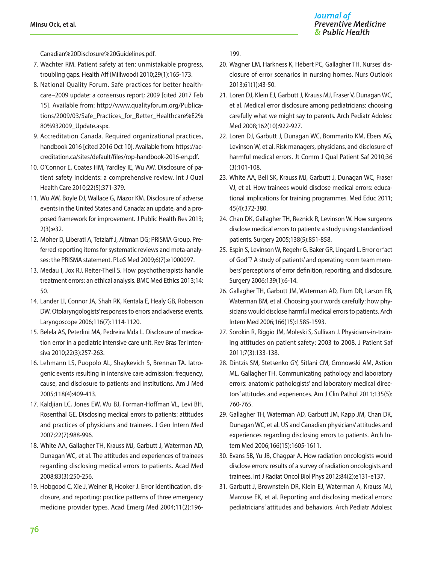Canadian%20Disclosure%20Guidelines.pdf.

- 7. Wachter RM. Patient safety at ten: unmistakable progress, troubling gaps. Health Aff (Millwood) 2010;29(1):165-173.
- 8. National Quality Forum. Safe practices for better healthcare–2009 update: a consensus report; 2009 [cited 2017 Feb 15]. Available from: http://www.qualityforum.org/Publications/2009/03/Safe\_Practices\_for\_Better\_Healthcare%E2% 80%932009\_Update.aspx.
- 9. Accreditation Canada. Required organizational practices, handbook 2016 [cited 2016 Oct 10]. Available from: https://accreditation.ca/sites/default/files/rop-handbook-2016-en.pdf.
- 10. O'Connor E, Coates HM, Yardley IE, Wu AW. Disclosure of patient safety incidents: a comprehensive review. Int J Qual Health Care 2010;22(5):371-379.
- 11. Wu AW, Boyle DJ, Wallace G, Mazor KM. Disclosure of adverse events in the United States and Canada: an update, and a proposed framework for improvement. J Public Health Res 2013; 2(3):e32.
- 12. Moher D, Liberati A, Tetzlaff J, Altman DG; PRISMA Group. Preferred reporting items for systematic reviews and meta-analyses: the PRISMA statement. PLoS Med 2009;6(7):e1000097.
- 13. Medau I, Jox RJ, Reiter-Theil S. How psychotherapists handle treatment errors: an ethical analysis. BMC Med Ethics 2013;14: 50.
- 14. Lander LI, Connor JA, Shah RK, Kentala E, Healy GB, Roberson DW. Otolaryngologists' responses to errors and adverse events. Laryngoscope 2006;116(7):1114-1120.
- 15. Belela AS, Peterlini MA, Pedreira Mda L. Disclosure of medication error in a pediatric intensive care unit. Rev Bras Ter Intensiva 2010;22(3):257-263.
- 16. Lehmann LS, Puopolo AL, Shaykevich S, Brennan TA. Iatrogenic events resulting in intensive care admission: frequency, cause, and disclosure to patients and institutions. Am J Med 2005;118(4):409-413.
- 17. Kaldjian LC, Jones EW, Wu BJ, Forman-Hoffman VL, Levi BH, Rosenthal GE. Disclosing medical errors to patients: attitudes and practices of physicians and trainees. J Gen Intern Med 2007;22(7):988-996.
- 18. White AA, Gallagher TH, Krauss MJ, Garbutt J, Waterman AD, Dunagan WC, et al. The attitudes and experiences of trainees regarding disclosing medical errors to patients. Acad Med 2008;83(3):250-256.
- 19. Hobgood C, Xie J, Weiner B, Hooker J. Error identification, disclosure, and reporting: practice patterns of three emergency medicine provider types. Acad Emerg Med 2004;11(2):196-

199.

- 20. Wagner LM, Harkness K, Hébert PC, Gallagher TH. Nurses' disclosure of error scenarios in nursing homes. Nurs Outlook 2013;61(1):43-50.
- 21. Loren DJ, Klein EJ, Garbutt J, Krauss MJ, Fraser V, Dunagan WC, et al. Medical error disclosure among pediatricians: choosing carefully what we might say to parents. Arch Pediatr Adolesc Med 2008;162(10):922-927.
- 22. Loren DJ, Garbutt J, Dunagan WC, Bommarito KM, Ebers AG, Levinson W, et al. Risk managers, physicians, and disclosure of harmful medical errors. Jt Comm J Qual Patient Saf 2010;36 (3):101-108.
- 23. White AA, Bell SK, Krauss MJ, Garbutt J, Dunagan WC, Fraser VJ, et al. How trainees would disclose medical errors: educational implications for training programmes. Med Educ 2011; 45(4):372-380.
- 24. Chan DK, Gallagher TH, Reznick R, Levinson W. How surgeons disclose medical errors to patients: a study using standardized patients. Surgery 2005;138(5):851-858.
- 25. Espin S, Levinson W, Regehr G, Baker GR, Lingard L. Error or "act of God"? A study of patients' and operating room team members' perceptions of error definition, reporting, and disclosure. Surgery 2006;139(1):6-14.
- 26. Gallagher TH, Garbutt JM, Waterman AD, Flum DR, Larson EB, Waterman BM, et al. Choosing your words carefully: how physicians would disclose harmful medical errors to patients. Arch Intern Med 2006;166(15):1585-1593.
- 27. Sorokin R, Riggio JM, Moleski S, Sullivan J. Physicians-in-training attitudes on patient safety: 2003 to 2008. J Patient Saf 2011;7(3):133-138.
- 28. Dintzis SM, Stetsenko GY, Sitlani CM, Gronowski AM, Astion ML, Gallagher TH. Communicating pathology and laboratory errors: anatomic pathologists' and laboratory medical directors' attitudes and experiences. Am J Clin Pathol 2011;135(5): 760-765.
- 29. Gallagher TH, Waterman AD, Garbutt JM, Kapp JM, Chan DK, Dunagan WC, et al. US and Canadian physicians' attitudes and experiences regarding disclosing errors to patients. Arch Intern Med 2006;166(15):1605-1611.
- 30. Evans SB, Yu JB, Chagpar A. How radiation oncologists would disclose errors: results of a survey of radiation oncologists and trainees. Int J Radiat Oncol Biol Phys 2012;84(2):e131-e137.
- 31. Garbutt J, Brownstein DR, Klein EJ, Waterman A, Krauss MJ, Marcuse EK, et al. Reporting and disclosing medical errors: pediatricians' attitudes and behaviors. Arch Pediatr Adolesc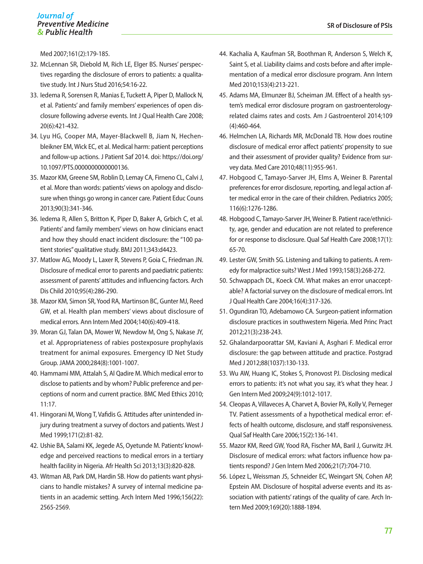#### Journal of **Preventive Medicine** & Public Health

Med 2007;161(2):179-185.

- 32. McLennan SR, Diebold M, Rich LE, Elger BS. Nurses' perspectives regarding the disclosure of errors to patients: a qualitative study. Int J Nurs Stud 2016;54:16-22.
- 33. Iedema R, Sorensen R, Manias E, Tuckett A, Piper D, Mallock N, et al. Patients' and family members' experiences of open disclosure following adverse events. Int J Qual Health Care 2008; 20(6):421-432.
- 34. Lyu HG, Cooper MA, Mayer-Blackwell B, Jiam N, Hechenbleikner EM, Wick EC, et al. Medical harm: patient perceptions and follow-up actions. J Patient Saf 2014. doi: https://doi.org/ 10.1097/PTS.0000000000000136.
- 35. Mazor KM, Greene SM, Roblin D, Lemay CA, Firneno CL, Calvi J, et al. More than words: patients' views on apology and disclosure when things go wrong in cancer care. Patient Educ Couns 2013;90(3):341-346.
- 36. Iedema R, Allen S, Britton K, Piper D, Baker A, Grbich C, et al. Patients' and family members' views on how clinicians enact and how they should enact incident disclosure: the "100 patient stories" qualitative study. BMJ 2011;343:d4423.
- 37. Matlow AG, Moody L, Laxer R, Stevens P, Goia C, Friedman JN. Disclosure of medical error to parents and paediatric patients: assessment of parents' attitudes and influencing factors. Arch Dis Child 2010;95(4):286-290.
- 38. Mazor KM, Simon SR, Yood RA, Martinson BC, Gunter MJ, Reed GW, et al. Health plan members' views about disclosure of medical errors. Ann Intern Med 2004;140(6):409-418.
- 39. Moran GJ, Talan DA, Mower W, Newdow M, Ong S, Nakase JY, et al. Appropriateness of rabies postexposure prophylaxis treatment for animal exposures. Emergency ID Net Study Group. JAMA 2000;284(8):1001-1007.
- 40. Hammami MM, Attalah S, Al Qadire M. Which medical error to disclose to patients and by whom? Public preference and perceptions of norm and current practice. BMC Med Ethics 2010; 11:17.
- 41. Hingorani M, Wong T, Vafidis G. Attitudes after unintended injury during treatment a survey of doctors and patients. West J Med 1999;171(2):81-82.
- 42. Ushie BA, Salami KK, Jegede AS, Oyetunde M. Patients' knowledge and perceived reactions to medical errors in a tertiary health facility in Nigeria. Afr Health Sci 2013;13(3):820-828.
- 43. Witman AB, Park DM, Hardin SB. How do patients want physicians to handle mistakes? A survey of internal medicine patients in an academic setting. Arch Intern Med 1996;156(22): 2565-2569.
- 44. Kachalia A, Kaufman SR, Boothman R, Anderson S, Welch K, Saint S, et al. Liability claims and costs before and after implementation of a medical error disclosure program. Ann Intern Med 2010;153(4):213-221.
- 45. Adams MA, Elmunzer BJ, Scheiman JM. Effect of a health system's medical error disclosure program on gastroenterologyrelated claims rates and costs. Am J Gastroenterol 2014;109 (4):460-464.
- 46. Helmchen LA, Richards MR, McDonald TB. How does routine disclosure of medical error affect patients' propensity to sue and their assessment of provider quality? Evidence from survey data. Med Care 2010;48(11):955-961.
- 47. Hobgood C, Tamayo-Sarver JH, Elms A, Weiner B. Parental preferences for error disclosure, reporting, and legal action after medical error in the care of their children. Pediatrics 2005; 116(6):1276-1286.
- 48. Hobgood C, Tamayo-Sarver JH, Weiner B. Patient race/ethnicity, age, gender and education are not related to preference for or response to disclosure. Qual Saf Health Care 2008;17(1): 65-70.
- 49. Lester GW, Smith SG. Listening and talking to patients. A remedy for malpractice suits? West J Med 1993;158(3):268-272.
- 50. Schwappach DL, Koeck CM. What makes an error unacceptable? A factorial survey on the disclosure of medical errors. Int J Qual Health Care 2004;16(4):317-326.
- 51. Ogundiran TO, Adebamowo CA. Surgeon-patient information disclosure practices in southwestern Nigeria. Med Princ Pract 2012;21(3):238-243.
- 52. Ghalandarpoorattar SM, Kaviani A, Asghari F. Medical error disclosure: the gap between attitude and practice. Postgrad Med J 2012;88(1037):130-133.
- 53. Wu AW, Huang IC, Stokes S, Pronovost PJ. Disclosing medical errors to patients: it's not what you say, it's what they hear. J Gen Intern Med 2009;24(9):1012-1017.
- 54. Cleopas A, Villaveces A, Charvet A, Bovier PA, Kolly V, Perneger TV. Patient assessments of a hypothetical medical error: effects of health outcome, disclosure, and staff responsiveness. Qual Saf Health Care 2006;15(2):136-141.
- 55. Mazor KM, Reed GW, Yood RA, Fischer MA, Baril J, Gurwitz JH. Disclosure of medical errors: what factors influence how patients respond? J Gen Intern Med 2006;21(7):704-710.
- 56. López L, Weissman JS, Schneider EC, Weingart SN, Cohen AP, Epstein AM. Disclosure of hospital adverse events and its association with patients' ratings of the quality of care. Arch Intern Med 2009;169(20):1888-1894.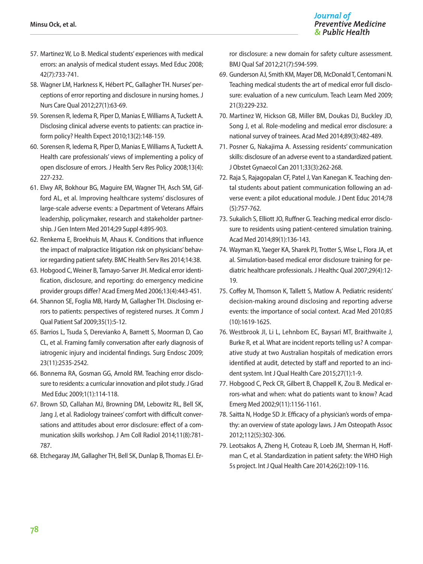- 57. Martinez W, Lo B. Medical students' experiences with medical errors: an analysis of medical student essays. Med Educ 2008; 42(7):733-741.
- 58. Wagner LM, Harkness K, Hébert PC, Gallagher TH. Nurses' perceptions of error reporting and disclosure in nursing homes. J Nurs Care Qual 2012;27(1):63-69.
- 59. Sorensen R, Iedema R, Piper D, Manias E, Williams A, Tuckett A. Disclosing clinical adverse events to patients: can practice inform policy? Health Expect 2010;13(2):148-159.
- 60. Sorensen R, Iedema R, Piper D, Manias E, Williams A, Tuckett A. Health care professionals' views of implementing a policy of open disclosure of errors. J Health Serv Res Policy 2008;13(4): 227-232.
- 61. Elwy AR, Bokhour BG, Maguire EM, Wagner TH, Asch SM, Gifford AL, et al. Improving healthcare systems' disclosures of large-scale adverse events: a Department of Veterans Affairs leadership, policymaker, research and stakeholder partnership. J Gen Intern Med 2014;29 Suppl 4:895-903.
- 62. Renkema E, Broekhuis M, Ahaus K. Conditions that influence the impact of malpractice litigation risk on physicians' behavior regarding patient safety. BMC Health Serv Res 2014;14:38.
- 63. Hobgood C, Weiner B, Tamayo-Sarver JH. Medical error identification, disclosure, and reporting: do emergency medicine provider groups differ? Acad Emerg Med 2006;13(4):443-451.
- 64. Shannon SE, Foglia MB, Hardy M, Gallagher TH. Disclosing errors to patients: perspectives of registered nurses. Jt Comm J Qual Patient Saf 2009;35(1):5-12.
- 65. Barrios L, Tsuda S, Derevianko A, Barnett S, Moorman D, Cao CL, et al. Framing family conversation after early diagnosis of iatrogenic injury and incidental findings. Surg Endosc 2009; 23(11):2535-2542.
- 66. Bonnema RA, Gosman GG, Arnold RM. Teaching error disclosure to residents: a curricular innovation and pilot study. J Grad Med Educ 2009;1(1):114-118.
- 67. Brown SD, Callahan MJ, Browning DM, Lebowitz RL, Bell SK, Jang J, et al. Radiology trainees' comfort with difficult conversations and attitudes about error disclosure: effect of a communication skills workshop. J Am Coll Radiol 2014;11(8):781- 787.
- 68. Etchegaray JM, Gallagher TH, Bell SK, Dunlap B, Thomas EJ. Er-

ror disclosure: a new domain for safety culture assessment. BMJ Qual Saf 2012;21(7):594-599.

- 69. Gunderson AJ, Smith KM, Mayer DB, McDonald T, Centomani N. Teaching medical students the art of medical error full disclosure: evaluation of a new curriculum. Teach Learn Med 2009; 21(3):229-232.
- 70. Martinez W, Hickson GB, Miller BM, Doukas DJ, Buckley JD, Song J, et al. Role-modeling and medical error disclosure: a national survey of trainees. Acad Med 2014;89(3):482-489.
- 71. Posner G, Nakajima A. Assessing residents' communication skills: disclosure of an adverse event to a standardized patient. J Obstet Gynaecol Can 2011;33(3):262-268.
- 72. Raja S, Rajagopalan CF, Patel J, Van Kanegan K. Teaching dental students about patient communication following an adverse event: a pilot educational module. J Dent Educ 2014;78 (5):757-762.
- 73. Sukalich S, Elliott JO, Ruffner G. Teaching medical error disclosure to residents using patient-centered simulation training. Acad Med 2014;89(1):136-143.
- 74. Wayman KI, Yaeger KA, Sharek PJ, Trotter S, Wise L, Flora JA, et al. Simulation-based medical error disclosure training for pediatric healthcare professionals. J Healthc Qual 2007;29(4):12- 19.
- 75. Coffey M, Thomson K, Tallett S, Matlow A. Pediatric residents' decision-making around disclosing and reporting adverse events: the importance of social context. Acad Med 2010;85 (10):1619-1625.
- 76. Westbrook JI, Li L, Lehnbom EC, Baysari MT, Braithwaite J, Burke R, et al. What are incident reports telling us? A comparative study at two Australian hospitals of medication errors identified at audit, detected by staff and reported to an incident system. Int J Qual Health Care 2015;27(1):1-9.
- 77. Hobgood C, Peck CR, Gilbert B, Chappell K, Zou B. Medical errors-what and when: what do patients want to know? Acad Emerg Med 2002;9(11):1156-1161.
- 78. Saitta N, Hodge SD Jr. Efficacy of a physician's words of empathy: an overview of state apology laws. J Am Osteopath Assoc 2012;112(5):302-306.
- 79. Leotsakos A, Zheng H, Croteau R, Loeb JM, Sherman H, Hoffman C, et al. Standardization in patient safety: the WHO High 5s project. Int J Qual Health Care 2014;26(2):109-116.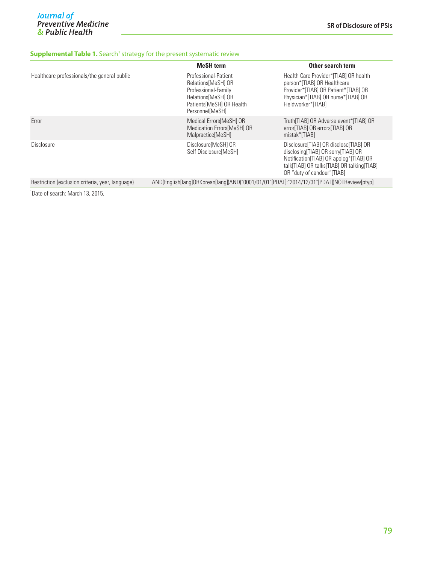#### **Supplemental Table 1.** Search<sup>1</sup> strategy for the present systematic review

|                                                  | <b>MeSH</b> term                                                                                                                        | Other search term                                                                                                                                                                                        |  |
|--------------------------------------------------|-----------------------------------------------------------------------------------------------------------------------------------------|----------------------------------------------------------------------------------------------------------------------------------------------------------------------------------------------------------|--|
| Healthcare professionals/the general public      | Professional-Patient<br>Relations MeSHI OR<br>Professional-Family<br>Relations [MeSH] OR<br>Patients MeSHI OR Health<br>Personnel[MeSH] | Health Care Provider*[TIAB] OR health<br>person*[TIAB] OR Healthcare<br>Provider*[TIAB] OR Patient*[TIAB] OR<br>Physician*[TIAB] OR nurse*[TIAB] OR<br>Fieldworker*[TIAB]                                |  |
| Error                                            | Medical Errors [MeSH] OR<br><b>Medication Errors MeSHI OR</b><br>Malpractice[MeSH]                                                      | Truth[TIAB] OR Adverse event*[TIAB] OR<br>error[TIAB] OR errors[TIAB] OR<br>mistak*[TIAB]                                                                                                                |  |
| Disclosure                                       | Disclosure MeSHI OR<br>Self Disclosure MeSHI                                                                                            | Disclosure [TIAB] OR disclose [TIAB] OR<br>disclosing [TIAB] OR sorry [TIAB] OR<br>Notification [TIAB] OR apolog* [TIAB] OR<br>talk[TIAB] OR talks[TIAB] OR talking[TIAB]<br>OR "duty of candour" [TIAB] |  |
| Restriction (exclusion criteria, year, language) | AND(English[lang]ORKorean[lang])AND("0001/01/01"[PDAT]:"2014/12/31"[PDAT])NOTReview[ptyp]                                               |                                                                                                                                                                                                          |  |

1 Date of search: March 13, 2015.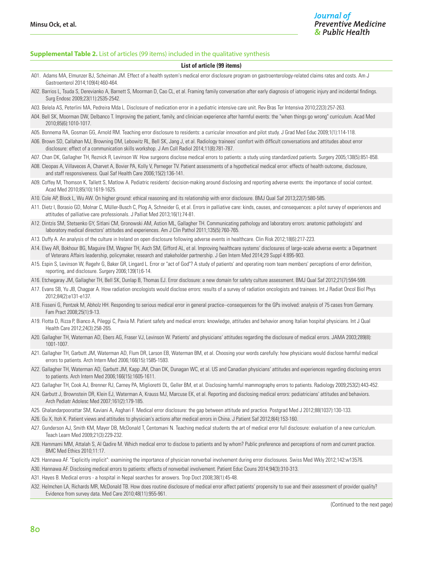#### **Supplemental Table 2.** List of articles (99 items) included in the qualitative synthesis

#### **List of article (99 items)**

- A01. Adams MA, Elmunzer BJ, Scheiman JM. Effect of a health system's medical error disclosure program on gastroenterology-related claims rates and costs. Am J Gastroenterol 2014;109(4):460-464.
- A02. Barrios L, Tsuda S, Derevianko A, Barnett S, Moorman D, Cao CL, et al. Framing family conversation after early diagnosis of iatrogenic injury and incidental findings Surg Endosc 2009;23(11):2535-2542.
- A03. Belela AS, Peterlini MA, Pedreira Mda L. Disclosure of medication error in a pediatric intensive care unit. Rev Bras Ter Intensiva 2010;22(3):257-263.
- A04. Bell SK, Moorman DW, Delbanco T. Improving the patient, family, and clinician experience after harmful events: the "when things go wrong" curriculum. Acad Med 2010;85(6):1010-1017.
- A05. Bonnema RA, Gosman GG, Arnold RM. Teaching error disclosure to residents: a curricular innovation and pilot study. J Grad Med Educ 2009;1(1):114-118.
- A06. Brown SD, Callahan MJ, Browning DM, Lebowitz RL, Bell SK, Jang J, et al. Radiology trainees' comfort with difficult conversations and attitudes about error disclosure: effect of a communication skills workshop. J Am Coll Radiol 2014;11(8):781-787.
- A07. Chan DK, Gallagher TH, Reznick R, Levinson W. How surgeons disclose medical errors to patients: a study using standardized patients. Surgery 2005;138(5):851-858.
- A08. Cleopas A, Villaveces A, Charvet A, Bovier PA, Kolly V, Perneger TV. Patient assessments of a hypothetical medical error: effects of health outcome, disclosure, and staff responsiveness. Qual Saf Health Care 2006;15(2):136-141.
- A09. Coffey M, Thomson K, Tallett S, Matlow A. Pediatric residents' decision-making around disclosing and reporting adverse events: the importance of social context. Acad Med 2010;85(10):1619-1625.
- A10. Cole AP, Block L, Wu AW. On higher ground: ethical reasoning and its relationship with error disclosure. BMJ Qual Saf 2013;22(7):580-585.
- A11. Dietz I, Borasio GD, Molnar C, Müller-Busch C, Plog A, Schneider G, et al. Errors in palliative care: kinds, causes, and consequences: a pilot survey of experiences and attitudes of palliative care professionals. J Palliat Med 2013;16(1):74-81.
- A12. Dintzis SM, Stetsenko GY, Sitlani CM, Gronowski AM, Astion ML, Gallagher TH. Communicating pathology and laboratory errors: anatomic pathologists' and laboratory medical directors' attitudes and experiences. Am J Clin Pathol 2011;135(5):760-765.
- A13. Duffy A. An analysis of the culture in Ireland on open disclosure following adverse events in healthcare. Clin Risk 2012;18(6):217-223.
- A14. Elwy AR, Bokhour BG, Maguire EM, Wagner TH, Asch SM, Gifford AL, et al. Improving healthcare systems' disclosures of large-scale adverse events: a Department of Veterans Affairs leadership, policymaker, research and stakeholder partnership. J Gen Intern Med 2014;29 Suppl 4:895-903.
- A15. Espin S, Levinson W, Regehr G, Baker GR, Lingard L. Error or "act of God"? A study of patients' and operating room team members' perceptions of error definition, reporting, and disclosure. Surgery 2006;139(1):6-14.
- A16. Etchegaray JM, Gallagher TH, Bell SK, Dunlap B, Thomas EJ. Error disclosure: a new domain for safety culture assessment. BMJ Qual Saf 2012;21(7):594-599.
- A17. Evans SB, Yu JB, Chagpar A. How radiation oncologists would disclose errors: results of a survey of radiation oncologists and trainees. Int J Radiat Oncol Biol Phys 2012;84(2):e131-e137.
- A18. Fisseni G, Pentzek M, Abholz HH. Responding to serious medical error in general practice--consequences for the GPs involved: analysis of 75 cases from Germany. Fam Pract 2008;25(1):9-13.
- A19. Flotta D, Rizza P, Bianco A, Pileggi C, Pavia M. Patient safety and medical errors: knowledge, attitudes and behavior among Italian hospital physicians. Int J Qual Health Care 2012;24(3):258-265.
- A20. Gallagher TH, Waterman AD, Ebers AG, Fraser VJ, Levinson W. Patients' and physicians' attitudes regarding the disclosure of medical errors. JAMA 2003;289(8): 1001-1007.
- A21. Gallagher TH, Garbutt JM, Waterman AD, Flum DR, Larson EB, Waterman BM, et al. Choosing your words carefully: how physicians would disclose harmful medical errors to patients. Arch Intern Med 2006;166(15):1585-1593.
- A22. Gallagher TH, Waterman AD, Garbutt JM, Kapp JM, Chan DK, Dunagan WC, et al. US and Canadian physicians' attitudes and experiences regarding disclosing errors to patients. Arch Intern Med 2006;166(15):1605-1611.
- A23. Gallagher TH, Cook AJ, Brenner RJ, Carney PA, Miglioretti DL, Geller BM, et al. Disclosing harmful mammography errors to patients. Radiology 2009;253(2):443-452.
- A24. Garbutt J, Brownstein DR, Klein EJ, Waterman A, Krauss MJ, Marcuse EK, et al. Reporting and disclosing medical errors: pediatricians' attitudes and behaviors. Arch Pediatr Adolesc Med 2007;161(2):179-185.
- A25. Ghalandarpoorattar SM, Kaviani A, Asghari F. Medical error disclosure: the gap between attitude and practice. Postgrad Med J 2012;88(1037):130-133.
- A26. Gu X, Itoh K. Patient views and attitudes to physician's actions after medical errors in China. J Patient Saf 2012;8(4):153-160.
- A27. Gunderson AJ, Smith KM, Mayer DB, McDonald T, Centomani N. Teaching medical students the art of medical error full disclosure: evaluation of a new curriculum. Teach Learn Med 2009;21(3):229-232.
- A28. Hammami MM, Attalah S, Al Qadire M. Which medical error to disclose to patients and by whom? Public preference and perceptions of norm and current practice. BMC Med Ethics 2010;11:17.
- A29. Hannawa AF. "Explicitly implicit": examining the importance of physician nonverbal involvement during error disclosures. Swiss Med Wkly 2012;142:w13576.
- A30. Hannawa AF. Disclosing medical errors to patients: effects of nonverbal involvement. Patient Educ Couns 2014;94(3):310-313.
- A31. Hayes B. Medical errors a hospital in Nepal searches for answers. Trop Doct 2008;38(1):45-48.
- A32. Helmchen LA, Richards MR, McDonald TB. How does routine disclosure of medical error affect patients' propensity to sue and their assessment of provider quality? Evidence from survey data. Med Care 2010;48(11):955-961.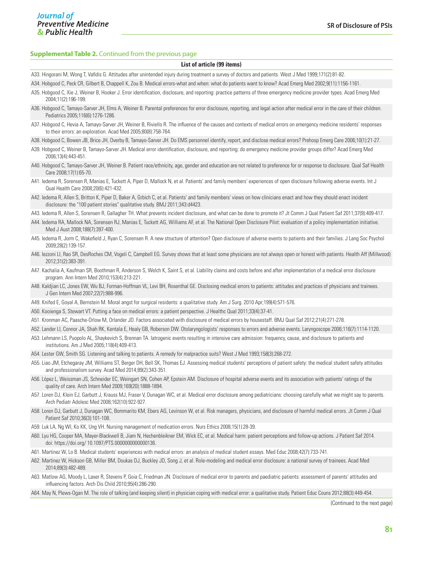#### **Supplemental Table 2.** Continued from the previous page

#### **List of article (99 items)**

- A33. Hingorani M, Wong T, Vafidis G. Attitudes after unintended injury during treatment a survey of doctors and patients. West J Med 1999;171(2):81-82.
- A34. Hobgood C, Peck CR, Gilbert B, Chappell K, Zou B. Medical errors-what and when: what do patients want to know? Acad Emerg Med 2002;9(11):1156-1161.
- A35. Hobgood C, Xie J, Weiner B, Hooker J. Error identification, disclosure, and reporting: practice patterns of three emergency medicine provider types. Acad Emerg Med 2004;11(2):196-199.
- A36. Hobgood C, Tamayo-Sarver JH, Elms A, Weiner B. Parental preferences for error disclosure, reporting, and legal action after medical error in the care of their children. Pediatrics 2005;116(6):1276-1286.
- A37. Hobgood C, Hevia A, Tamayo-Sarver JH, Weiner B, Riviello R. The influence of the causes and contexts of medical errors on emergency medicine residents' responses to their errors: an exploration. Acad Med 2005;80(8):758-764.
- A38. Hobgood C, Bowen JB, Brice JH, Overby B, Tamayo-Sarver JH. Do EMS personnel identify, report, and disclose medical errors? Prehosp Emerg Care 2006;10(1):21-27.
- A39. Hobgood C, Weiner B, Tamayo-Sarver JH. Medical error identification, disclosure, and reporting: do emergency medicine provider groups differ? Acad Emerg Med 2006;13(4):443-451.
- A40. Hobgood C, Tamayo-Sarver JH, Weiner B. Patient race/ethnicity, age, gender and education are not related to preference for or response to disclosure. Qual Saf Health Care 2008;17(1):65-70.
- A41. Iedema R, Sorensen R, Manias E, Tuckett A, Piper D, Mallock N, et al. Patients' and family members' experiences of open disclosure following adverse events. Int J Qual Health Care 2008;20(6):421-432.
- A42. Iedema R, Allen S, Britton K, Piper D, Baker A, Grbich C, et al. Patients' and family members' views on how clinicians enact and how they should enact incident disclosure: the "100 patient stories" qualitative study. BMJ 2011;343:d4423.
- A43. Iedema R, Allen S, Sorensen R, Gallagher TH. What prevents incident disclosure, and what can be done to promote it? Jt Comm J Qual Patient Saf 2011;37(9):409-417.
- A44. Iedema RA, Mallock NA, Sorensen RJ, Manias E, Tuckett AG, Williams AF, et al. The National Open Disclosure Pilot: evaluation of a policy implementation initiative. Med J Aust 2008;188(7):397-400.
- A45. Iedema R, Jorm C, Wakefield J, Ryan C, Sorensen R. A new structure of attention? Open disclosure of adverse events to patients and their families. J Lang Soc Psychol 2009;28(2):139-157.
- A46. Iezzoni LI, Rao SR, DesRoches CM, Vogeli C, Campbell EG. Survey shows that at least some physicians are not always open or honest with patients. Health Aff (Millwood) 2012;31(2):383-391.
- A47. Kachalia A, Kaufman SR, Boothman R, Anderson S, Welch K, Saint S, et al. Liability claims and costs before and after implementation of a medical error disclosure program. Ann Intern Med 2010;153(4):213-221.
- A48. Kaldjian LC, Jones EW, Wu BJ, Forman-Hoffman VL, Levi BH, Rosenthal GE. Disclosing medical errors to patients: attitudes and practices of physicians and trainees J Gen Intern Med 2007;22(7):988-996.
- A49. Knifed E, Goyal A, Bernstein M. Moral angst for surgical residents: a qualitative study. Am J Surg. 2010 Apr;199(4):571-576.
- A50. Kooienga S, Stewart VT. Putting a face on medical errors: a patient perspective. J Healthc Qual 2011;33(4):37-41.
- A51. Kronman AC, Paasche-Orlow M, Orlander JD. Factors associated with disclosure of medical errors by housestaff. BMJ Qual Saf 2012;21(4):271-278.
- A52. Lander LI, Connor JA, Shah RK, Kentala E, Healy GB, Roberson DW. Otolaryngologists' responses to errors and adverse events. Laryngoscope 2006;116(7):1114-1120.
- A53. Lehmann LS, Puopolo AL, Shaykevich S, Brennan TA. Iatrogenic events resulting in intensive care admission: frequency, cause, and disclosure to patients and institutions. Am J Med 2005;118(4):409-413.
- A54. Lester GW, Smith SG. Listening and talking to patients. A remedy for malpractice suits? West J Med 1993;158(3):268-272.
- A55. Liao JM, Etchegaray JM, Williams ST, Berger DH, Bell SK, Thomas EJ. Assessing medical students' perceptions of patient safety: the medical student safety attitudes and professionalism survey. Acad Med 2014;89(2):343-351.
- A56. López L, Weissman JS, Schneider EC, Weingart SN, Cohen AP, Epstein AM. Disclosure of hospital adverse events and its association with patients' ratings of the quality of care. Arch Intern Med 2009;169(20):1888-1894.
- A57. Loren DJ, Klein EJ, Garbutt J, Krauss MJ, Fraser V, Dunagan WC, et al. Medical error disclosure among pediatricians: choosing carefully what we might say to parents. Arch Pediatr Adolesc Med 2008;162(10):922-927.
- A58. Loren DJ, Garbutt J, Dunagan WC, Bommarito KM, Ebers AG, Levinson W, et al. Risk managers, physicians, and disclosure of harmful medical errors. Jt Comm J Qual Patient Saf 2010;36(3):101-108.
- A59. Luk LA, Ng WI, Ko KK, Ung VH. Nursing management of medication errors. Nurs Ethics 2008;15(1):28-39.
- A60. Lyu HG, Cooper MA, Mayer-Blackwell B, Jiam N, Hechenbleikner EM, Wick EC, et al. Medical harm: patient perceptions and follow-up actions. J Patient Saf 2014. doi: https://doi.org/ 10.1097/PTS.0000000000000136.
- A61. Martinez W, Lo B. Medical students' experiences with medical errors: an analysis of medical student essays. Med Educ 2008;42(7):733-741.
- A62. Martinez W, Hickson GB, Miller BM, Doukas DJ, Buckley JD, Song J, et al. Role-modeling and medical error disclosure: a national survey of trainees. Acad Med 2014;89(3):482-489.
- A63. Matlow AG, Moody L, Laxer R, Stevens P, Goia C, Friedman JN. Disclosure of medical error to parents and paediatric patients: assessment of parents' attitudes and influencing factors. Arch Dis Child 2010;95(4):286-290.
- A64. May N, Plews-Ogan M. The role of talking (and keeping silent) in physician coping with medical error: a qualitative study. Patient Educ Couns 2012;88(3):449-454.

(Continued to the next page)